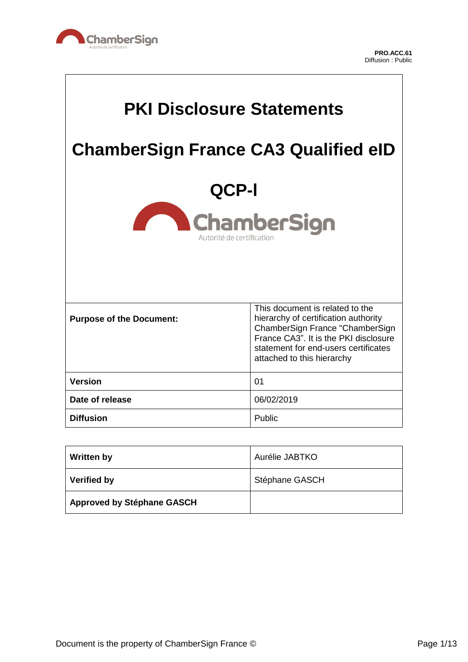

 $\overline{\mathsf{L}}$ 

| <b>PKI Disclosure Statements</b>            |                                                                                                                                                                                                                           |
|---------------------------------------------|---------------------------------------------------------------------------------------------------------------------------------------------------------------------------------------------------------------------------|
| <b>ChamberSign France CA3 Qualified eID</b> |                                                                                                                                                                                                                           |
| QCP-I                                       |                                                                                                                                                                                                                           |
| ChamberSign<br>Autorité de certification    |                                                                                                                                                                                                                           |
|                                             |                                                                                                                                                                                                                           |
| <b>Purpose of the Document:</b>             | This document is related to the<br>hierarchy of certification authority<br>ChamberSign France "ChamberSign<br>France CA3". It is the PKI disclosure<br>statement for end-users certificates<br>attached to this hierarchy |
| <b>Version</b>                              | 01                                                                                                                                                                                                                        |
| Date of release                             | 06/02/2019                                                                                                                                                                                                                |
| <b>Diffusion</b>                            | Public                                                                                                                                                                                                                    |

| <b>Written by</b>                 | Aurélie JABTKO |
|-----------------------------------|----------------|
| <b>Verified by</b>                | Stéphane GASCH |
| <b>Approved by Stéphane GASCH</b> |                |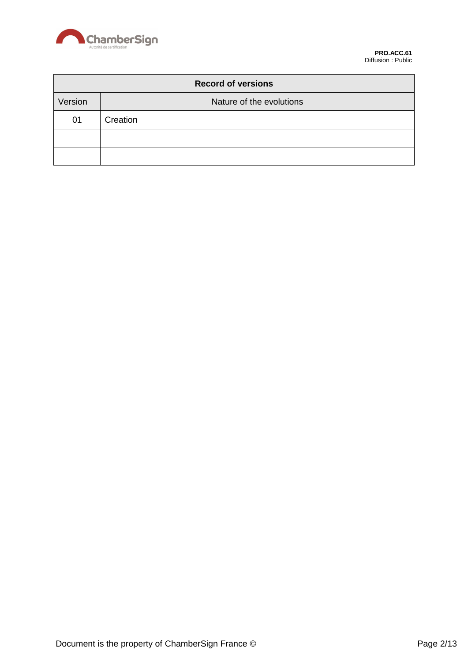

| <b>Record of versions</b> |                          |  |
|---------------------------|--------------------------|--|
| Version                   | Nature of the evolutions |  |
| 01                        | Creation                 |  |
|                           |                          |  |
|                           |                          |  |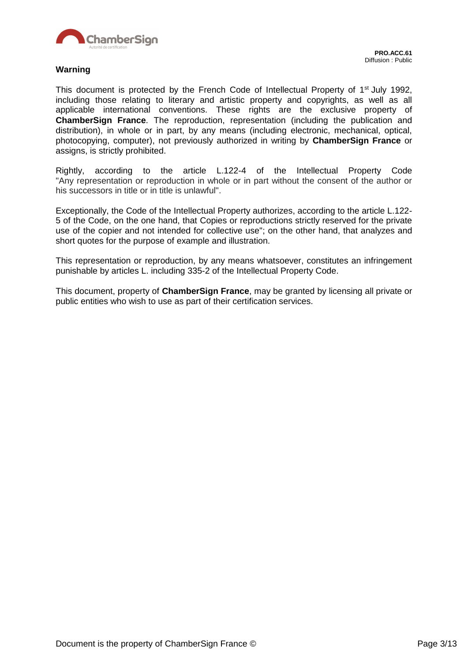

This document is protected by the French Code of Intellectual Property of 1<sup>st</sup> July 1992, including those relating to literary and artistic property and copyrights, as well as all applicable international conventions. These rights are the exclusive property of **ChamberSign France**. The reproduction, representation (including the publication and distribution), in whole or in part, by any means (including electronic, mechanical, optical, photocopying, computer), not previously authorized in writing by **ChamberSign France** or assigns, is strictly prohibited.

Rightly, according to the article L.122-4 of the Intellectual Property Code "Any representation or reproduction in whole or in part without the consent of the author or his successors in title or in title is unlawful".

Exceptionally, the Code of the Intellectual Property authorizes, according to the article L.122- 5 of the Code, on the one hand, that Copies or reproductions strictly reserved for the private use of the copier and not intended for collective use"; on the other hand, that analyzes and short quotes for the purpose of example and illustration.

This representation or reproduction, by any means whatsoever, constitutes an infringement punishable by articles L. including 335-2 of the Intellectual Property Code.

This document, property of **ChamberSign France**, may be granted by licensing all private or public entities who wish to use as part of their certification services.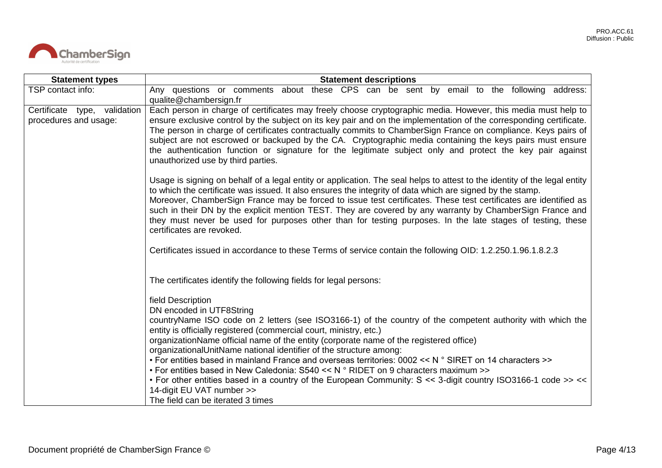

| <b>Statement types</b>                                | <b>Statement descriptions</b>                                                                                                                                                                                                                                                                                                                                                                                                                                                                                                                                                                                                                                                                                                                                                            |
|-------------------------------------------------------|------------------------------------------------------------------------------------------------------------------------------------------------------------------------------------------------------------------------------------------------------------------------------------------------------------------------------------------------------------------------------------------------------------------------------------------------------------------------------------------------------------------------------------------------------------------------------------------------------------------------------------------------------------------------------------------------------------------------------------------------------------------------------------------|
| TSP contact info:                                     | Any questions or comments about these CPS can be sent by email to the following address:<br>qualite@chambersign.fr                                                                                                                                                                                                                                                                                                                                                                                                                                                                                                                                                                                                                                                                       |
| Certificate type, validation<br>procedures and usage: | Each person in charge of certificates may freely choose cryptographic media. However, this media must help to<br>ensure exclusive control by the subject on its key pair and on the implementation of the corresponding certificate.<br>The person in charge of certificates contractually commits to ChamberSign France on compliance. Keys pairs of<br>subject are not escrowed or backuped by the CA. Cryptographic media containing the keys pairs must ensure<br>the authentication function or signature for the legitimate subject only and protect the key pair against<br>unauthorized use by third parties.                                                                                                                                                                    |
|                                                       | Usage is signing on behalf of a legal entity or application. The seal helps to attest to the identity of the legal entity<br>to which the certificate was issued. It also ensures the integrity of data which are signed by the stamp.<br>Moreover, ChamberSign France may be forced to issue test certificates. These test certificates are identified as<br>such in their DN by the explicit mention TEST. They are covered by any warranty by ChamberSign France and<br>they must never be used for purposes other than for testing purposes. In the late stages of testing, these<br>certificates are revoked.                                                                                                                                                                       |
|                                                       | Certificates issued in accordance to these Terms of service contain the following OID: 1.2.250.1.96.1.8.2.3                                                                                                                                                                                                                                                                                                                                                                                                                                                                                                                                                                                                                                                                              |
|                                                       | The certificates identify the following fields for legal persons:                                                                                                                                                                                                                                                                                                                                                                                                                                                                                                                                                                                                                                                                                                                        |
|                                                       | field Description<br>DN encoded in UTF8String<br>countryName ISO code on 2 letters (see ISO3166-1) of the country of the competent authority with which the<br>entity is officially registered (commercial court, ministry, etc.)<br>organizationName official name of the entity (corporate name of the registered office)<br>organizationalUnitName national identifier of the structure among:<br>• For entities based in mainland France and overseas territories: 0002 << N ° SIRET on 14 characters >><br>• For entities based in New Caledonia: $S540 \le N$ ° RIDET on 9 characters maximum >><br>• For other entities based in a country of the European Community: S << 3-digit country ISO3166-1 code >> <<<br>14-digit EU VAT number >><br>The field can be iterated 3 times |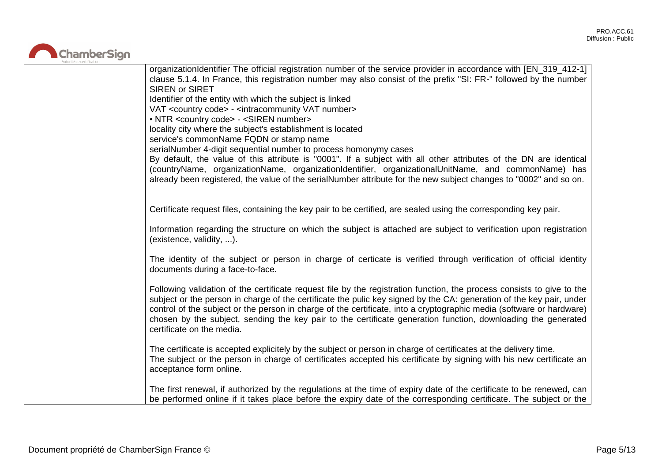

| organizationIdentifier The official registration number of the service provider in accordance with [EN_319_412-1]<br>clause 5.1.4. In France, this registration number may also consist of the prefix "SI: FR-" followed by the number<br>SIREN or SIRET<br>Identifier of the entity with which the subject is linked<br>VAT <country code=""> - <intracommunity number="" vat=""><br/>• NTR <country code=""> - <siren number=""><br/>locality city where the subject's establishment is located<br/>service's commonName FQDN or stamp name<br/>serialNumber 4-digit sequential number to process homonymy cases<br/>By default, the value of this attribute is "0001". If a subject with all other attributes of the DN are identical<br/>(countryName, organizationName, organizationIdentifier, organizationalUnitName, and commonName) has<br/>already been registered, the value of the serialNumber attribute for the new subject changes to "0002" and so on.</siren></country></intracommunity></country> |
|---------------------------------------------------------------------------------------------------------------------------------------------------------------------------------------------------------------------------------------------------------------------------------------------------------------------------------------------------------------------------------------------------------------------------------------------------------------------------------------------------------------------------------------------------------------------------------------------------------------------------------------------------------------------------------------------------------------------------------------------------------------------------------------------------------------------------------------------------------------------------------------------------------------------------------------------------------------------------------------------------------------------|
| Certificate request files, containing the key pair to be certified, are sealed using the corresponding key pair.                                                                                                                                                                                                                                                                                                                                                                                                                                                                                                                                                                                                                                                                                                                                                                                                                                                                                                    |
| Information regarding the structure on which the subject is attached are subject to verification upon registration<br>(existence, validity, ).                                                                                                                                                                                                                                                                                                                                                                                                                                                                                                                                                                                                                                                                                                                                                                                                                                                                      |
| The identity of the subject or person in charge of certicate is verified through verification of official identity<br>documents during a face-to-face.                                                                                                                                                                                                                                                                                                                                                                                                                                                                                                                                                                                                                                                                                                                                                                                                                                                              |
| Following validation of the certificate request file by the registration function, the process consists to give to the<br>subject or the person in charge of the certificate the pulic key signed by the CA: generation of the key pair, under<br>control of the subject or the person in charge of the certificate, into a cryptographic media (software or hardware)<br>chosen by the subject, sending the key pair to the certificate generation function, downloading the generated<br>certificate on the media.                                                                                                                                                                                                                                                                                                                                                                                                                                                                                                |
| The certificate is accepted explicitely by the subject or person in charge of certificates at the delivery time.<br>The subject or the person in charge of certificates accepted his certificate by signing with his new certificate an<br>acceptance form online.                                                                                                                                                                                                                                                                                                                                                                                                                                                                                                                                                                                                                                                                                                                                                  |
| The first renewal, if authorized by the regulations at the time of expiry date of the certificate to be renewed, can<br>be performed online if it takes place before the expiry date of the corresponding certificate. The subject or the                                                                                                                                                                                                                                                                                                                                                                                                                                                                                                                                                                                                                                                                                                                                                                           |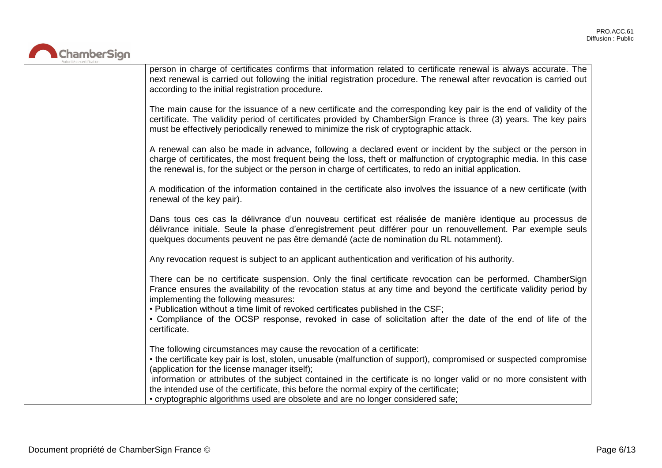

| person in charge of certificates confirms that information related to certificate renewal is always accurate. The<br>next renewal is carried out following the initial registration procedure. The renewal after revocation is carried out<br>according to the initial registration procedure.                                                                                                                                                                                                                                                    |
|---------------------------------------------------------------------------------------------------------------------------------------------------------------------------------------------------------------------------------------------------------------------------------------------------------------------------------------------------------------------------------------------------------------------------------------------------------------------------------------------------------------------------------------------------|
| The main cause for the issuance of a new certificate and the corresponding key pair is the end of validity of the<br>certificate. The validity period of certificates provided by ChamberSign France is three (3) years. The key pairs<br>must be effectively periodically renewed to minimize the risk of cryptographic attack.                                                                                                                                                                                                                  |
| A renewal can also be made in advance, following a declared event or incident by the subject or the person in<br>charge of certificates, the most frequent being the loss, theft or malfunction of cryptographic media. In this case<br>the renewal is, for the subject or the person in charge of certificates, to redo an initial application.                                                                                                                                                                                                  |
| A modification of the information contained in the certificate also involves the issuance of a new certificate (with<br>renewal of the key pair).                                                                                                                                                                                                                                                                                                                                                                                                 |
| Dans tous ces cas la délivrance d'un nouveau certificat est réalisée de manière identique au processus de<br>délivrance initiale. Seule la phase d'enregistrement peut différer pour un renouvellement. Par exemple seuls<br>quelques documents peuvent ne pas être demandé (acte de nomination du RL notamment).                                                                                                                                                                                                                                 |
| Any revocation request is subject to an applicant authentication and verification of his authority.                                                                                                                                                                                                                                                                                                                                                                                                                                               |
| There can be no certificate suspension. Only the final certificate revocation can be performed. ChamberSign<br>France ensures the availability of the revocation status at any time and beyond the certificate validity period by<br>implementing the following measures:<br>. Publication without a time limit of revoked certificates published in the CSF;<br>• Compliance of the OCSP response, revoked in case of solicitation after the date of the end of life of the<br>certificate.                                                      |
| The following circumstances may cause the revocation of a certificate:<br>• the certificate key pair is lost, stolen, unusable (malfunction of support), compromised or suspected compromise<br>(application for the license manager itself);<br>information or attributes of the subject contained in the certificate is no longer valid or no more consistent with<br>the intended use of the certificate, this before the normal expiry of the certificate;<br>• cryptographic algorithms used are obsolete and are no longer considered safe; |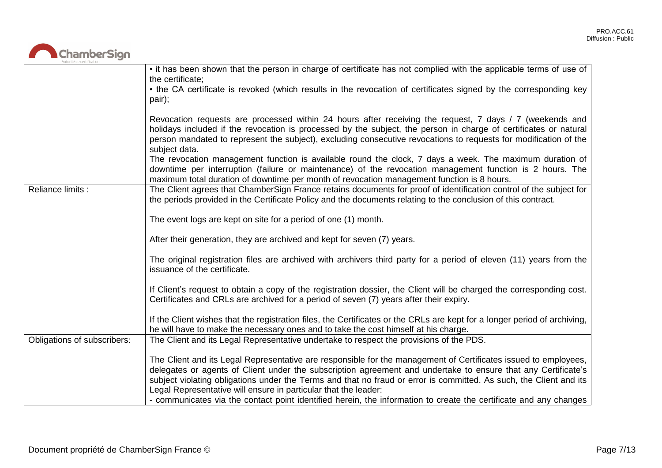

|                             | • it has been shown that the person in charge of certificate has not complied with the applicable terms of use of<br>the certificate;                                                                                                                                                                                                                                                                                     |
|-----------------------------|---------------------------------------------------------------------------------------------------------------------------------------------------------------------------------------------------------------------------------------------------------------------------------------------------------------------------------------------------------------------------------------------------------------------------|
|                             | • the CA certificate is revoked (which results in the revocation of certificates signed by the corresponding key<br>pair);                                                                                                                                                                                                                                                                                                |
|                             | Revocation requests are processed within 24 hours after receiving the request, 7 days / 7 (weekends and<br>holidays included if the revocation is processed by the subject, the person in charge of certificates or natural<br>person mandated to represent the subject), excluding consecutive revocations to requests for modification of the<br>subject data.                                                          |
|                             | The revocation management function is available round the clock, 7 days a week. The maximum duration of<br>downtime per interruption (failure or maintenance) of the revocation management function is 2 hours. The<br>maximum total duration of downtime per month of revocation management function is 8 hours.                                                                                                         |
| Reliance limits :           | The Client agrees that ChamberSign France retains documents for proof of identification control of the subject for<br>the periods provided in the Certificate Policy and the documents relating to the conclusion of this contract.                                                                                                                                                                                       |
|                             | The event logs are kept on site for a period of one (1) month.                                                                                                                                                                                                                                                                                                                                                            |
|                             | After their generation, they are archived and kept for seven (7) years.                                                                                                                                                                                                                                                                                                                                                   |
|                             | The original registration files are archived with archivers third party for a period of eleven (11) years from the<br>issuance of the certificate.                                                                                                                                                                                                                                                                        |
|                             | If Client's request to obtain a copy of the registration dossier, the Client will be charged the corresponding cost.<br>Certificates and CRLs are archived for a period of seven (7) years after their expiry.                                                                                                                                                                                                            |
|                             | If the Client wishes that the registration files, the Certificates or the CRLs are kept for a longer period of archiving,<br>he will have to make the necessary ones and to take the cost himself at his charge.                                                                                                                                                                                                          |
| Obligations of subscribers: | The Client and its Legal Representative undertake to respect the provisions of the PDS.                                                                                                                                                                                                                                                                                                                                   |
|                             | The Client and its Legal Representative are responsible for the management of Certificates issued to employees,<br>delegates or agents of Client under the subscription agreement and undertake to ensure that any Certificate's<br>subject violating obligations under the Terms and that no fraud or error is committed. As such, the Client and its<br>Legal Representative will ensure in particular that the leader: |
|                             | - communicates via the contact point identified herein, the information to create the certificate and any changes                                                                                                                                                                                                                                                                                                         |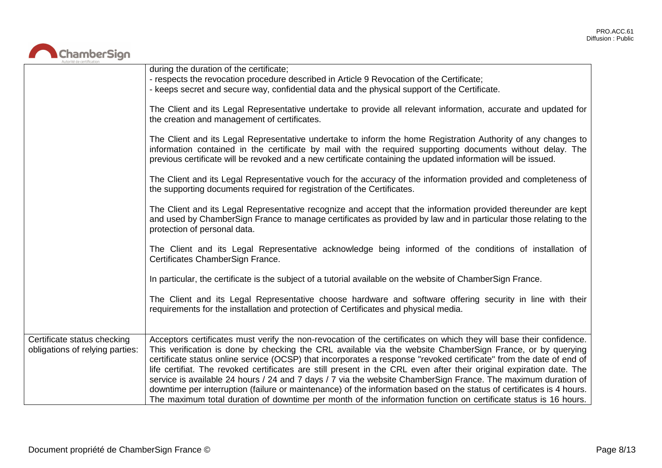

|                                                                | during the duration of the certificate;<br>- respects the revocation procedure described in Article 9 Revocation of the Certificate;<br>- keeps secret and secure way, confidential data and the physical support of the Certificate.                                                                                                                                                                                                                                                                                                                                                                                                                                                                                                                                                                                                         |
|----------------------------------------------------------------|-----------------------------------------------------------------------------------------------------------------------------------------------------------------------------------------------------------------------------------------------------------------------------------------------------------------------------------------------------------------------------------------------------------------------------------------------------------------------------------------------------------------------------------------------------------------------------------------------------------------------------------------------------------------------------------------------------------------------------------------------------------------------------------------------------------------------------------------------|
|                                                                | The Client and its Legal Representative undertake to provide all relevant information, accurate and updated for<br>the creation and management of certificates.                                                                                                                                                                                                                                                                                                                                                                                                                                                                                                                                                                                                                                                                               |
|                                                                | The Client and its Legal Representative undertake to inform the home Registration Authority of any changes to<br>information contained in the certificate by mail with the required supporting documents without delay. The<br>previous certificate will be revoked and a new certificate containing the updated information will be issued.                                                                                                                                                                                                                                                                                                                                                                                                                                                                                                  |
|                                                                | The Client and its Legal Representative vouch for the accuracy of the information provided and completeness of<br>the supporting documents required for registration of the Certificates.                                                                                                                                                                                                                                                                                                                                                                                                                                                                                                                                                                                                                                                     |
|                                                                | The Client and its Legal Representative recognize and accept that the information provided thereunder are kept<br>and used by ChamberSign France to manage certificates as provided by law and in particular those relating to the<br>protection of personal data.                                                                                                                                                                                                                                                                                                                                                                                                                                                                                                                                                                            |
|                                                                | The Client and its Legal Representative acknowledge being informed of the conditions of installation of<br>Certificates ChamberSign France.                                                                                                                                                                                                                                                                                                                                                                                                                                                                                                                                                                                                                                                                                                   |
|                                                                | In particular, the certificate is the subject of a tutorial available on the website of ChamberSign France.                                                                                                                                                                                                                                                                                                                                                                                                                                                                                                                                                                                                                                                                                                                                   |
|                                                                | The Client and its Legal Representative choose hardware and software offering security in line with their<br>requirements for the installation and protection of Certificates and physical media.                                                                                                                                                                                                                                                                                                                                                                                                                                                                                                                                                                                                                                             |
| Certificate status checking<br>obligations of relying parties: | Acceptors certificates must verify the non-revocation of the certificates on which they will base their confidence.<br>This verification is done by checking the CRL available via the website ChamberSign France, or by querying<br>certificate status online service (OCSP) that incorporates a response "revoked certificate" from the date of end of<br>life certifiat. The revoked certificates are still present in the CRL even after their original expiration date. The<br>service is available 24 hours / 24 and 7 days / 7 via the website ChamberSign France. The maximum duration of<br>downtime per interruption (failure or maintenance) of the information based on the status of certificates is 4 hours.<br>The maximum total duration of downtime per month of the information function on certificate status is 16 hours. |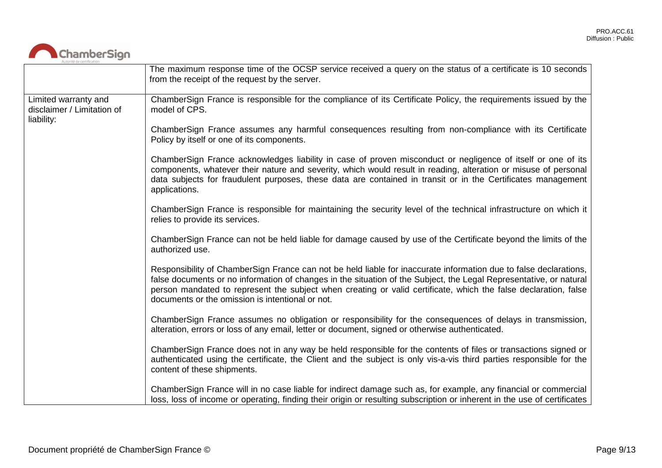

|                                                                  | The maximum response time of the OCSP service received a query on the status of a certificate is 10 seconds<br>from the receipt of the request by the server.                                                                                                                                                                                                                                                  |
|------------------------------------------------------------------|----------------------------------------------------------------------------------------------------------------------------------------------------------------------------------------------------------------------------------------------------------------------------------------------------------------------------------------------------------------------------------------------------------------|
| Limited warranty and<br>disclaimer / Limitation of<br>liability: | ChamberSign France is responsible for the compliance of its Certificate Policy, the requirements issued by the<br>model of CPS.                                                                                                                                                                                                                                                                                |
|                                                                  | ChamberSign France assumes any harmful consequences resulting from non-compliance with its Certificate<br>Policy by itself or one of its components.                                                                                                                                                                                                                                                           |
|                                                                  | ChamberSign France acknowledges liability in case of proven misconduct or negligence of itself or one of its<br>components, whatever their nature and severity, which would result in reading, alteration or misuse of personal<br>data subjects for fraudulent purposes, these data are contained in transit or in the Certificates management<br>applications.                                               |
|                                                                  | ChamberSign France is responsible for maintaining the security level of the technical infrastructure on which it<br>relies to provide its services.                                                                                                                                                                                                                                                            |
|                                                                  | ChamberSign France can not be held liable for damage caused by use of the Certificate beyond the limits of the<br>authorized use.                                                                                                                                                                                                                                                                              |
|                                                                  | Responsibility of ChamberSign France can not be held liable for inaccurate information due to false declarations,<br>false documents or no information of changes in the situation of the Subject, the Legal Representative, or natural<br>person mandated to represent the subject when creating or valid certificate, which the false declaration, false<br>documents or the omission is intentional or not. |
|                                                                  | ChamberSign France assumes no obligation or responsibility for the consequences of delays in transmission,<br>alteration, errors or loss of any email, letter or document, signed or otherwise authenticated.                                                                                                                                                                                                  |
|                                                                  | ChamberSign France does not in any way be held responsible for the contents of files or transactions signed or<br>authenticated using the certificate, the Client and the subject is only vis-a-vis third parties responsible for the<br>content of these shipments.                                                                                                                                           |
|                                                                  | ChamberSign France will in no case liable for indirect damage such as, for example, any financial or commercial<br>loss, loss of income or operating, finding their origin or resulting subscription or inherent in the use of certificates                                                                                                                                                                    |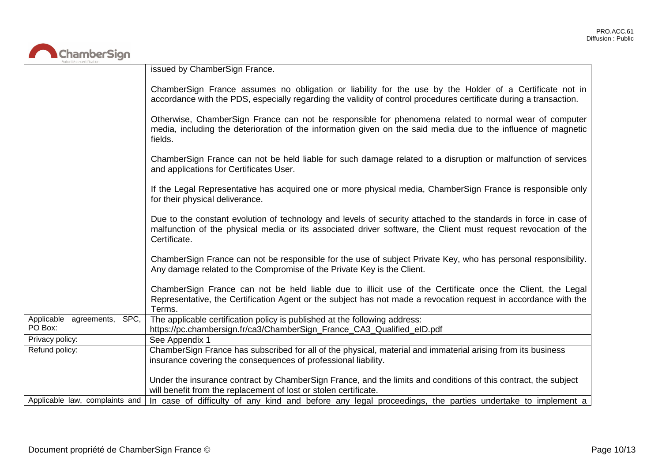

| Autorité de certification      |                                                                                                                                                                                                                                                    |
|--------------------------------|----------------------------------------------------------------------------------------------------------------------------------------------------------------------------------------------------------------------------------------------------|
|                                | issued by ChamberSign France.                                                                                                                                                                                                                      |
|                                | ChamberSign France assumes no obligation or liability for the use by the Holder of a Certificate not in<br>accordance with the PDS, especially regarding the validity of control procedures certificate during a transaction.                      |
|                                | Otherwise, ChamberSign France can not be responsible for phenomena related to normal wear of computer<br>media, including the deterioration of the information given on the said media due to the influence of magnetic<br>fields.                 |
|                                | ChamberSign France can not be held liable for such damage related to a disruption or malfunction of services<br>and applications for Certificates User.                                                                                            |
|                                | If the Legal Representative has acquired one or more physical media, ChamberSign France is responsible only<br>for their physical deliverance.                                                                                                     |
|                                | Due to the constant evolution of technology and levels of security attached to the standards in force in case of<br>malfunction of the physical media or its associated driver software, the Client must request revocation of the<br>Certificate. |
|                                | ChamberSign France can not be responsible for the use of subject Private Key, who has personal responsibility.<br>Any damage related to the Compromise of the Private Key is the Client.                                                           |
|                                | ChamberSign France can not be held liable due to illicit use of the Certificate once the Client, the Legal<br>Representative, the Certification Agent or the subject has not made a revocation request in accordance with the<br>Terms.            |
| Applicable agreements, SPC,    | The applicable certification policy is published at the following address:                                                                                                                                                                         |
| PO Box:                        | https://pc.chambersign.fr/ca3/ChamberSign_France_CA3_Qualified_eID.pdf                                                                                                                                                                             |
| Privacy policy:                | See Appendix 1                                                                                                                                                                                                                                     |
| Refund policy:                 | ChamberSign France has subscribed for all of the physical, material and immaterial arising from its business<br>insurance covering the consequences of professional liability.                                                                     |
|                                | Under the insurance contract by ChamberSign France, and the limits and conditions of this contract, the subject<br>will benefit from the replacement of lost or stolen certificate.                                                                |
| Applicable law, complaints and | In case of difficulty of any kind and before any legal proceedings, the parties undertake to implement a                                                                                                                                           |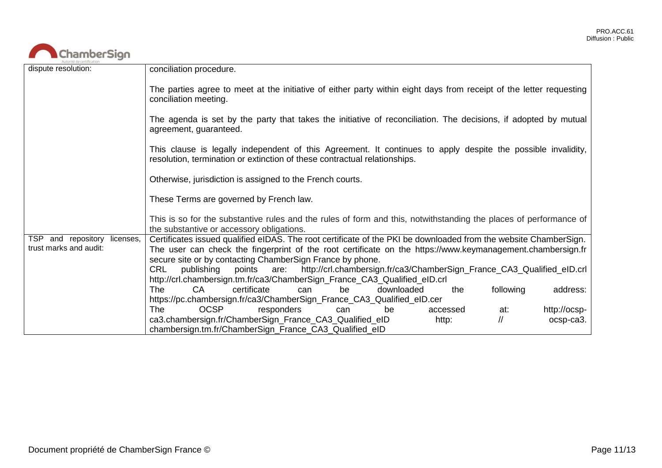

| dispute resolution:                                        | conciliation procedure.                                                                                                                                                                                                                                                                     |
|------------------------------------------------------------|---------------------------------------------------------------------------------------------------------------------------------------------------------------------------------------------------------------------------------------------------------------------------------------------|
|                                                            | The parties agree to meet at the initiative of either party within eight days from receipt of the letter requesting<br>conciliation meeting.                                                                                                                                                |
|                                                            | The agenda is set by the party that takes the initiative of reconciliation. The decisions, if adopted by mutual<br>agreement, guaranteed.                                                                                                                                                   |
|                                                            | This clause is legally independent of this Agreement. It continues to apply despite the possible invalidity,<br>resolution, termination or extinction of these contractual relationships.                                                                                                   |
|                                                            | Otherwise, jurisdiction is assigned to the French courts.                                                                                                                                                                                                                                   |
|                                                            | These Terms are governed by French law.                                                                                                                                                                                                                                                     |
|                                                            | This is so for the substantive rules and the rules of form and this, notwithstanding the places of performance of<br>the substantive or accessory obligations.                                                                                                                              |
| TSP.<br>and repository licenses,<br>trust marks and audit: | Certificates issued qualified eIDAS. The root certificate of the PKI be downloaded from the website ChamberSign.<br>The user can check the fingerprint of the root certificate on the https://www.keymanagement.chambersign.fr<br>secure site or by contacting ChamberSign France by phone. |
|                                                            | CRL<br>publishing<br>are: http://crl.chambersign.fr/ca3/ChamberSign_France_CA3_Qualified_eID.crl<br>points<br>http://crl.chambersign.tm.fr/ca3/ChamberSign_France_CA3_Qualified_eID.crl                                                                                                     |
|                                                            | CA<br>certificate<br>following<br>The<br>downloaded<br>address:<br>be<br>the<br>can<br>https://pc.chambersign.fr/ca3/ChamberSign_France_CA3_Qualified_eID.cer                                                                                                                               |
|                                                            | <b>OCSP</b><br>responders<br>http://ocsp-<br>The .<br>accessed<br>at:<br>can<br>be                                                                                                                                                                                                          |
|                                                            | ca3.chambersign.fr/ChamberSign_France_CA3_Qualified_eID<br>$^{\prime\prime}$<br>http:<br>ocsp-ca3.<br>chambersign.tm.fr/ChamberSign_France_CA3_Qualified_eID                                                                                                                                |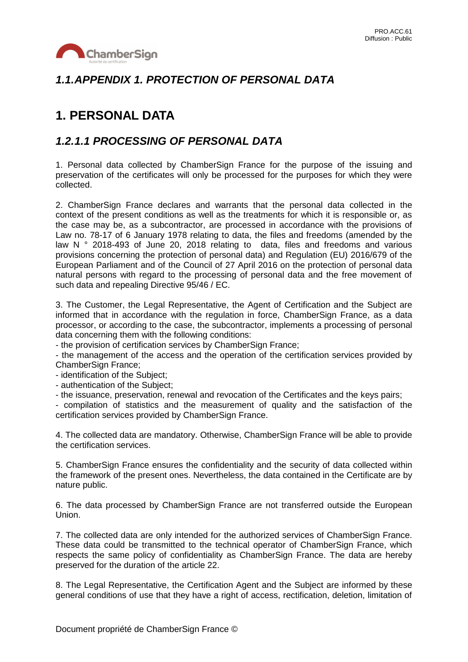

## *1.1.APPENDIX 1. PROTECTION OF PERSONAL DATA*

## **1. PERSONAL DATA**

## *1.2.1.1 PROCESSING OF PERSONAL DATA*

1. Personal data collected by ChamberSign France for the purpose of the issuing and preservation of the certificates will only be processed for the purposes for which they were collected.

2. ChamberSign France declares and warrants that the personal data collected in the context of the present conditions as well as the treatments for which it is responsible or, as the case may be, as a subcontractor, are processed in accordance with the provisions of Law no. 78-17 of 6 January 1978 relating to data, the files and freedoms (amended by the law N ° 2018-493 of June 20, 2018 relating to data, files and freedoms and various provisions concerning the protection of personal data) and Regulation (EU) 2016/679 of the European Parliament and of the Council of 27 April 2016 on the protection of personal data natural persons with regard to the processing of personal data and the free movement of such data and repealing Directive 95/46 / EC.

3. The Customer, the Legal Representative, the Agent of Certification and the Subject are informed that in accordance with the regulation in force, ChamberSign France, as a data processor, or according to the case, the subcontractor, implements a processing of personal data concerning them with the following conditions:

- the provision of certification services by ChamberSign France;

- the management of the access and the operation of the certification services provided by ChamberSign France;

- identification of the Subject;

- authentication of the Subject;

- the issuance, preservation, renewal and revocation of the Certificates and the keys pairs;

- compilation of statistics and the measurement of quality and the satisfaction of the certification services provided by ChamberSign France.

4. The collected data are mandatory. Otherwise, ChamberSign France will be able to provide the certification services.

5. ChamberSign France ensures the confidentiality and the security of data collected within the framework of the present ones. Nevertheless, the data contained in the Certificate are by nature public.

6. The data processed by ChamberSign France are not transferred outside the European Union.

7. The collected data are only intended for the authorized services of ChamberSign France. These data could be transmitted to the technical operator of ChamberSign France, which respects the same policy of confidentiality as ChamberSign France. The data are hereby preserved for the duration of the article 22.

8. The Legal Representative, the Certification Agent and the Subject are informed by these general conditions of use that they have a right of access, rectification, deletion, limitation of